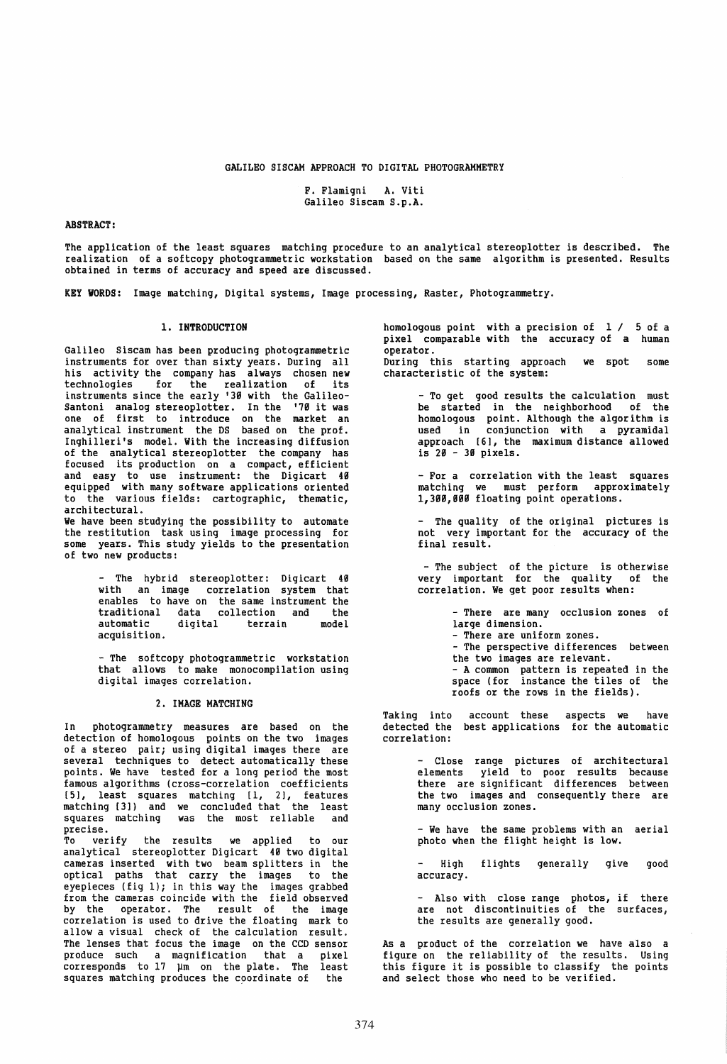# GALILEO SISCAM APPROACH TO DIGITAL PHOTOGRAMMETRY

# F. Flamigni A. Viti Galileo Siscam S.p.A.

# ABSTRACT:

The application of the least squares matching procedure to an analytical stereoplotter is described. The realization of a softcopy photogrammetric workstation based on the same algorithm is presented. Results obtained in terms of accuracy and speed are discussed.

KEY WORDS: Image matching, Digital systems, Image processing, Raster, Photogrammetry.

# 1. INTRODUCTION

Galileo Siscam has been producing photogrammetric instruments for over than sixty years. During all<br>his activity the company has always chosen new his activity the company has always chosen new technologies for the realization of its instruments since the early '39 with the Galileo-Santoni analog stereoplotter. In the '79 it was<br>one of first to introduce on the market an<br>analytical instrument the DS based on the prof. Inghilleri's model. With the increasing diffusion of the analytical stereoplotter the company has focused its production on a compact, efficient and easy to use instrument: the Digicart 40 equipped with many software applications oriented to the various fields: cartographic, thematic, architectural.

We have been studying the possibility to automate the restitution task using image processing for<br>some years. This study yields to the presentation of two new products:

> - The hybrid stereoplotter: Digicart 40 with an image correlation system that enables to have on the same instrument the<br>traditional data collection and the traditional data collection and the terrain acquisition.

> - The softcopy photogrammetric workstation that allows to make monocompilation using digital images correlation.

# 2. IMAGE MATCHING

In photogrammetry measures are based on the detection of homologous points on the two images<br>of a stereo pair; using digital images there are of a stereo pair; using digital images there are<br>several techniques to detect automatically these points. We have tested for a long period the most famous algorithms (cross-correlation coefficients [51, least squares matching [I, 21, features matching [3]) and we concluded that the least squares matching was the most reliable and precise.

To verify the results we applied to our analytical stereoplotter Digicart 40 two digital cameras inserted with two beam splitters in the optical paths that carry the images to the eyepieces (fig 1); in this way the images grabbed from the cameras coincide with the field observed by the operator. The result of the image correlation is used to drive the floating mark to allow a visual check of the calculation result. The lenses that focus the image on the CCD sensor produce such a magnification that a pixel corresponds to 17 µm on the plate. The least squares matching produces the coordinate of the

homologous point with a precision of  $1 / 5$  of a pixel comparable with the accuracy of a human operator. During this starting approach we spot some characteristic of the system:

> - To get good results the calculation must be started in the neighborhood of the homologous point. Although the algorithm is used in conjunction with a pyramidal approach [6], the maximum distance allowed is 20 - 39 pixels.

> - For a correlation with the least squares matching we must perform approximately l,39g,g99 floating point operations.

> - The quality of the original pictures is not very important for the accuracy of the final result.

- The subject of the picture is otherwise very important for the quality of the correlation. We get poor results when:

> - There are many occlusion zones of<br>large dimension. - There are uniform zones.<br>- The perspective differences between<br>the two images are relevant. the two images are relevant.<br>- A common pattern is repeated in the space (for instance the tiles of the roofs or the rows in the fields).

Taking into detected the correlation: account these best applications aspects we have for the automatic

> Close range pictures of architectural elements yield to poor results because there are significant differences between the two images and consequently there are<br>many occlusion zones.

> - We have the same problems with an aerial photo when the flight height is low.

> High accuracy. flights generally give good

> - Also with close range photos, if there are not discontinuities of the surfaces, the results are generally good.

As a product of the correlation we have also a figure on the reliability of the results. Using this figure it is possible to classify the points and select those who need to be verified.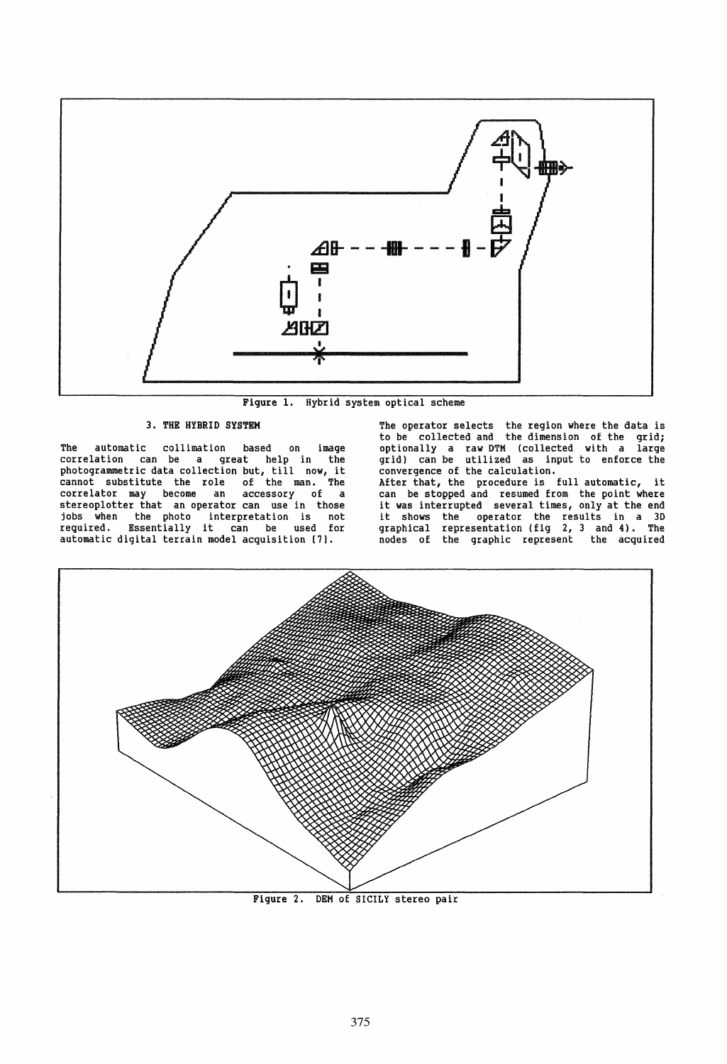

Figure 1. Hybrid system optical scheme

## 3. THE HYBRID SYSTEM

The automatic collimation based on image correlation can be a great help in the photogrammetric data collection but, till now, it cannot substitute the role of the man. The correlator may become an accessory of a<br>stereoplotter-that an-operator-can use-in-those jobs when the photo interpretation is not required. Essentially it can be used for automatic digital terrain model acquisition [71.

The operator selects the region where the data is to be collected and the dimension of the grid; optionally a raw DTM (collected with a large grid) can be utilized as input to enforce the convergence of the calculation.<br>After that, the procedure is full automatic, After that, the procedure is full automatic, it can be stopped and resumed from the point where it was interrupted several times, only at the end it shows the operator the results in a 3D graphical representation (fig 2, 3 and 4). The nodes of the graphic represent the acquired



Figure 2. DEM of SICILY stereo pair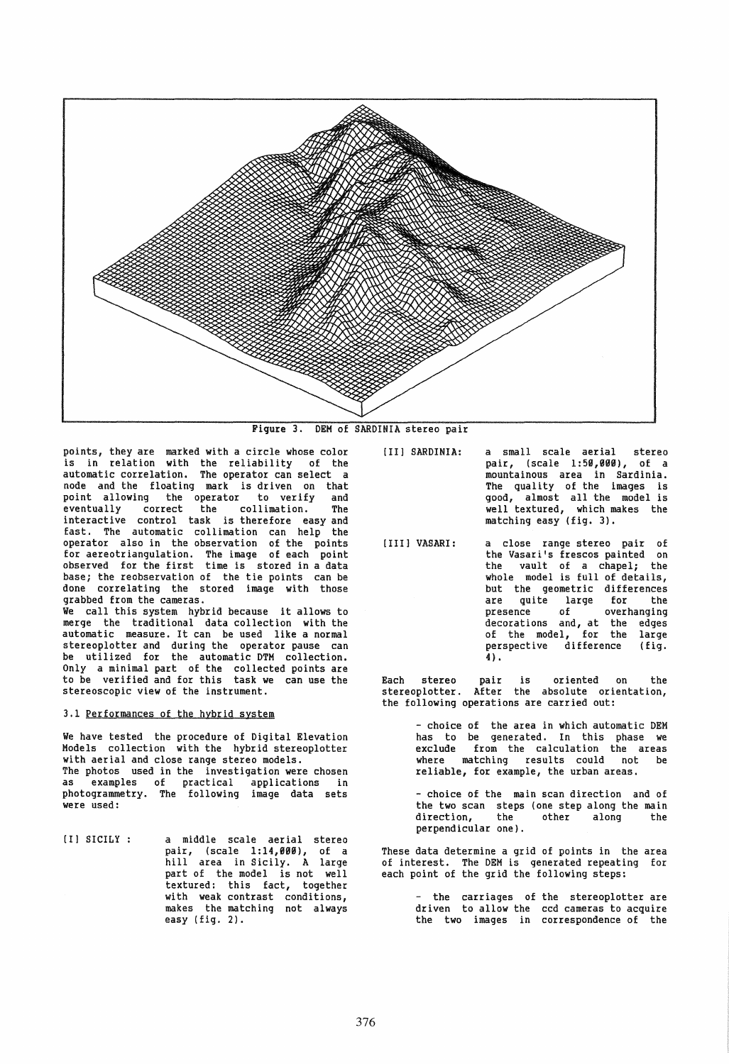

Figure 3. DEM of SARDINIA stereo pair

points, they are marked with a circle whose color is in relation with the reliability of the automatic correlation. The operator can select a node and the floating mark is driven on that point allowing the operator to verify and eventually correct the collimation. The interactive control task is therefore easy and fast. The automatic collimation can help the operator also in the observation of the points for aereotriangulation. The image of each point observed for the first time is stored in a data base; the reobservation of the tie points can be done correlating the stored image with those<br>grabbed from the cameras. We call this system hybrid because it allows to merge the traditional data collection with the

automatic measure. It can be used like a normal stereoplotter and during the operator pause can be utilized for the automatic DTM collection. Only a minimal part of the collected points are to be verified and for this task we can use the stereoscopic view of the instrument.

### 3.1 Performances of the hybrid system

We have tested the procedure of Digital Elevation Models collection with the hybrid stereoplotter with aerial and close range stereo models.<br>The photos used in the investigation were chosen The photos used in the investigation were chosen as examples of practical applications in photogrammetry. The following image data sets<br>were used:

[I) SICILY a middle scale aerial stereo pair, (scale 1:14,999), of a hill area in Sicily. A large part of the model is not well textured: this fact, together with weak contrast conditions, makes the matching not always easy (fig. 2).

- [II] SARDINIA: a small scale aerial stereo<br>pair, (scale 1:50,000), of a mountainous area in Sardinia. The quality of the images is good, almost all the model is well textured, which makes the matching easy (fig. 3).
- [III] VASARI: a close range stereo pair of<br>the Vasari's frescos painted on the vault of a chapel; the whole model is full of details, but the geometric differences<br>are quite large for the<br>presence of overhanging overhanging decorations and, at the edges of the model, for the large perspective difference (fig. 4) •

Each stereo pair is oriented on the stereoplotter. After the absolute orientation, the following operations are carried out:

> - choice of the area in which automatic OEM has to be generated. In this phase we exclude from the calculation the areas where matching results could not be where matching results could not<br>reliable, for example, the urban areas.

> - choice of the main scan direction and of the two scan steps (one step along the main<br>direction, the other along the direction, the other along the perpendicular one).

These data determine a grid of points in the area of interest. The OEM is generated repeating for each point of the grid the following steps:

> the carriages of the stereoplotter are driven to allow the ccd cameras to acquire the two images in correspondence of the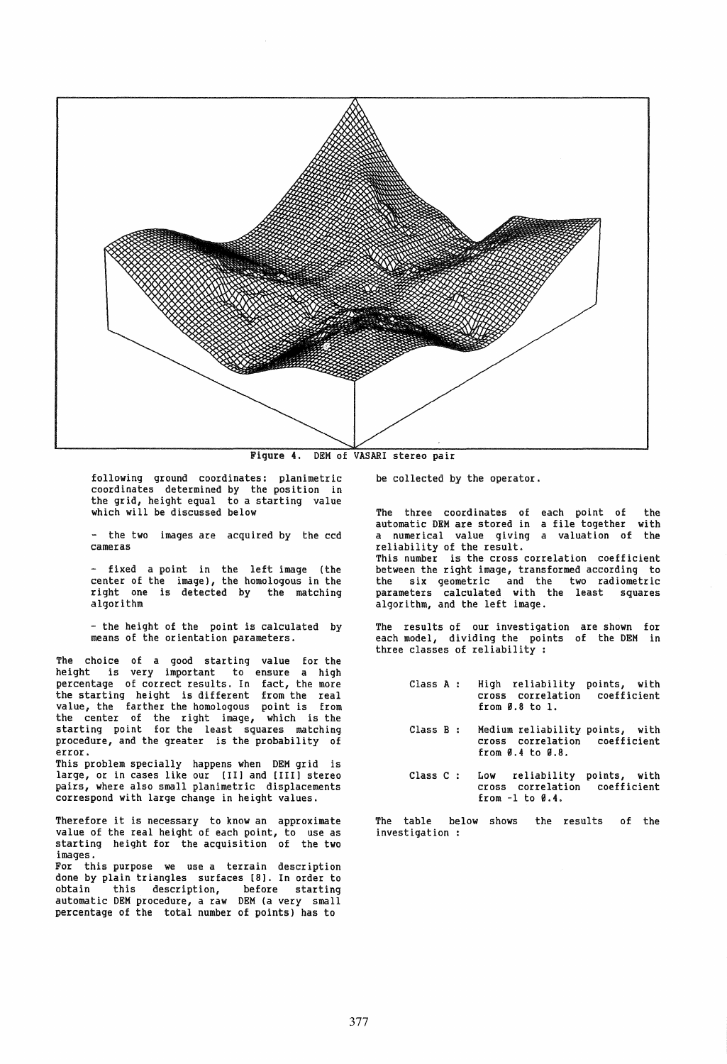

Figure 4. OEM of VASARI stereo pair

following ground coordinates: planimetric coordinates determined by the position in the grid, height equal to a starting value which will be discussed below

- the two images are acquired by the ccd<br>cameras

fixed a point in the left image (the center of the image), the homologous in the right one is detected by the matching algorithm

- the height of the point is calculated by<br>means of the orientation parameters.

The choice of a good starting value for the height is very important to ensure a high percentage of correct results. In fact, the more<br>the starting height is different from the real value, the farther the homologous point is from the center of the right image, which is the starting point for the least squares matching procedure, and the greater is the probability of error.

This problem specially happens when OEM grid is large, or in cases like our [Ill and [III] stereo pairs, where also small planimetric displacements correspond with large change in height values.

Therefore it is necessary to know an approximate value of the real height of each point, to use as starting height for the acquisition of the two images.

For this purpose we use a terrain description done by plain triangles surfaces [8]. In order to obtain this description, before starting automatic OEM procedure, a raw OEM (a very small percentage of the total number of points) has to

be collected by the operator.

The three coordinates of each point of the automatic DEM are stored in a file together with<br>a numerical value giving a valuation of the a numerical value giving a valuation of the<br>reliability of the result. This number is the cross correlation coefficient between the right image, transformed according to the six geometric and the two radiometric parameters calculated with the least squares algorithm, and the left image.

The results of our investigation are shown for each model, dividing the points of the DEM in<br>three classes of reliability :

- Class A High reliability points, with<br>cross correlation coefficient from B.8 to 1. coefficient
- Class B Medium reliability points, with cross correlation coefficient from B.4 to B.8.
- Class C Low reliability points, with<br>cross correlation coefficient from  $-1$  to  $\emptyset.4$ . coefficient

The table below shows the results of the investigation :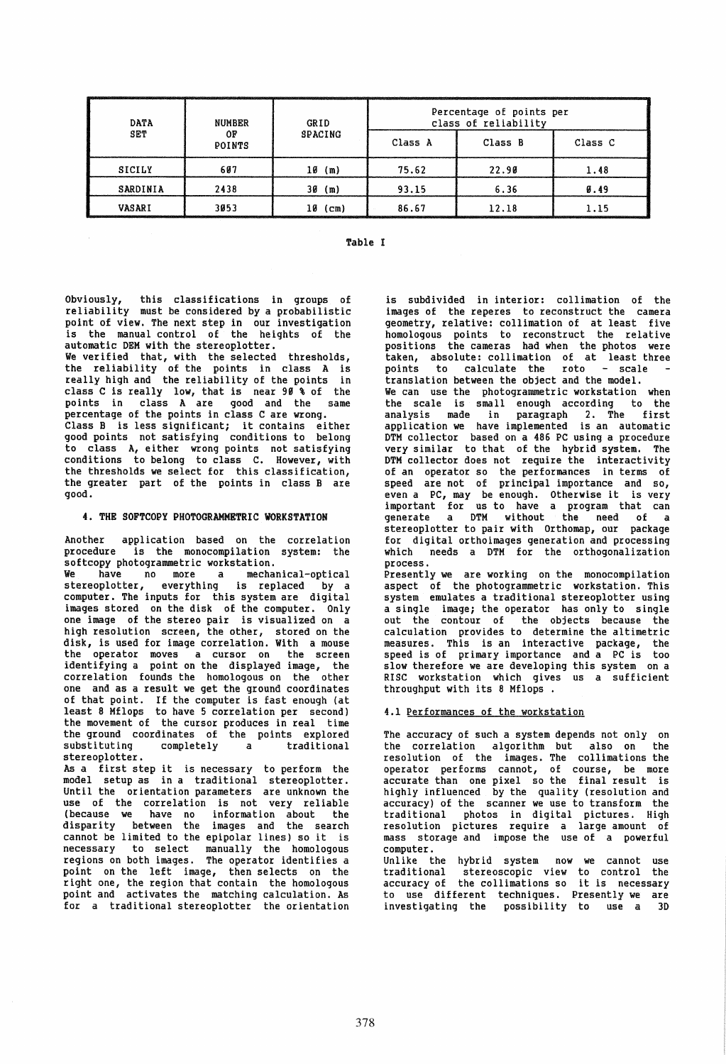| <b>DATA</b><br>SET | NUMBER<br>OF<br>POINTS | GRID<br>SPACING | Percentage of points per<br>class of reliability |         |         |
|--------------------|------------------------|-----------------|--------------------------------------------------|---------|---------|
|                    |                        |                 | Class A                                          | Class B | Class C |
| SICILY             | 607                    | (m)<br>10       | 75.62                                            | 22.90   | 1.48    |
| SARDINIA           | 2438                   | 30<br>(m)       | 93.15                                            | 6.36    | 0.49    |
| VASARI             | 3053                   | 10<br>(cm)      | 86.67                                            | 12.18   | 1.15    |

# Table I

Obviously, this classifications in groups of reliability must be considered by a probabilistic point of view. The next step in our investigation is the manual control of the heights of the automatic DEM with the stereoplotter. We verified that, with the selected thresholds, the reliability of the points in class A is really high and the reliability of the points in class C is really low, that is near 99 % of the points in class A are good and the same percentage of the points in class C are wrong. percentage of the points in class C are wrong.<br>Class B is less significant; it contains either good points not satisfying conditions to belong to class A, either wrong points not satisfying conditions to belong to class C. However, with the thresholds we select for this classification, the greater part of the points in class B are good.

#### 4. THE SOFTCOPY PHOTOGRAHHETRIC WORKSTATION

Another application based on the correlation procedure is the monocompilation system: the softcopy photogrammetric workstation.

We have no more a mechanical-optical stereoplotter, everything is replaced by a computer. The inputs for this system are digital images stored on the disk of the computer. Only one image of the stereo pair is visualized on a high resolution screen, the other, stored on the disk, is used for image correlation. With a mouse the operator moves a cursor on the screen<br>identifying a point on the displayed image, the<br>correlation founds the homologous on the other correlation founds the homologous on the other one and as a result we get the ground coordinates of that point. If the computer is fast enough (at least 8 Mflops to have 5 correlation per second) the movement of the cursor produces in real time the ground coordinates of the points explored<br>substituting completely a traditional substituting stereoplotter.

As a first step it is necessary to perform the model setup as in a traditional stereoplotter. Until the orientation parameters are unknown the<br>use of the correlation is not very reliable (because we have no information about the disparity between the images and the search cannot be limited to the epipolar lines) so it is necessary to select manually the homologous<br>regions on both images. The operator identifies a point on the left image, then selects on the right one, the region that contain the homologous point and activates the matching calculation. As for a traditional stereoplotter the orientation is subdivided in interior: collimation of the<br>images of the reperes to reconstruct the camera geometry, relative: collimation of at least five homologous points to reconstruct the relative positions the cameras had when the photos were taken, absolute: collimation of at least three taken, absolute: collimation of at least three<br>points to calculate the roto - scale -.<br>translation between the object and the model. We can use the photogrammetric workstation when the scale is small enough according to the analysis made in paragraph 2. The first application we have implemented is an automatic

DTM collector based on a 486 PC using a procedure very similar to that of the hybrid system. The DTM collector does not require the interactivity of an operator so the performances in terms of speed are not of principal importance and so, even a PC, may be enough. Otherwise it is very important for us to have a program that can generate a DTM without the need of a stereoplotter to pair with Orthomap, our package for digital orthoimages generation and processing which needs a DTM for the orthogonalization process.

Presently we are working on the monocompilation aspect of the photogrammetric workstation. This<br>system emulates a traditional stereoplotter using a single image; the operator has only to single out the contour of the objects because the<br>calculation provides to determine the altimetric measures. This is an interactive package, the speed is of primary importance and a PC is too slow therefore we are developing this system on a RISC workstation which gives us a sufficient throughput with its 8 Mflops .

#### 4.1 Performances of the workstation

The accuracy of such a system depends not only on the correlation algorithm but also on the resolution of the images. The collimations the operator performs cannot, of course, be more accurate than one pixel so the final result is highly influenced by the quality (resolution and accuracy) of the scanner we use to transform the traditional photos in digital pictures. High resolution pictures require a large amount of mass storage and impose the use of a powerful computer.

Unlike the hybrid system now we cannot use traditional stereoscopic view to control the accuracy of the collimations so it is necessary to use different techniques. Presently we are<br>investigating the possibility to use a 3D